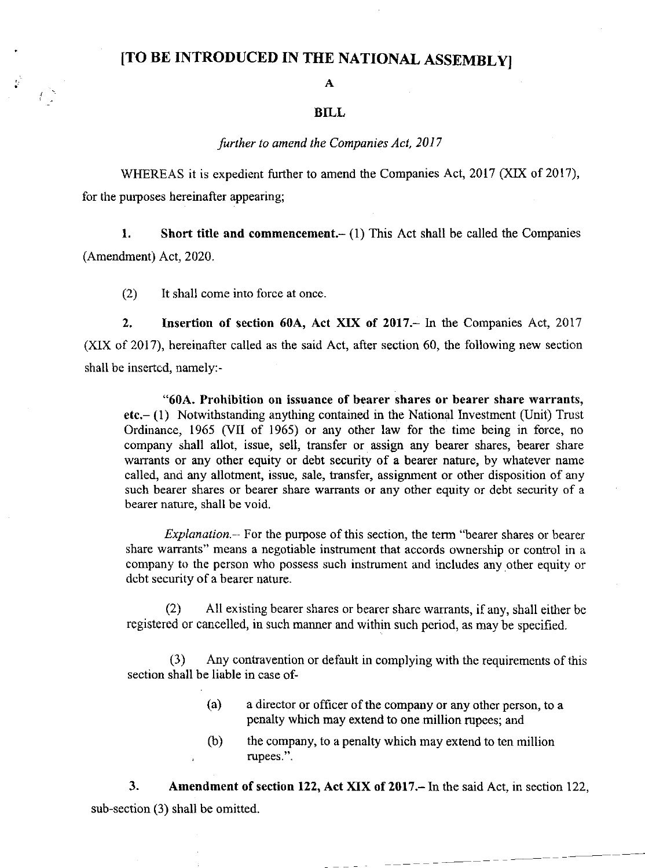# [TO BE INTRODUCED IN THE NATIONAL ASSEMBLY]

#### A

## BILL

### further to amend the Companies Act, 2017

WHEREAS it is expedient further to amend the Companies Act, 2017 (XIX of 2017), for the purposes hereinafter appearing;

1. Short title and commencement. $- (1)$  This Act shall be called the Companies (Amendment) Act,2020.

(2) It shall come into force at once.

2. Insertion of section 60A, Act XIX of 2017. In the Companies Act, 2017 (XlX of 2017), hereinafter called as the said Act, after section 60, the following new section shall be insertcd, namely:-

"60A. Prohibition on issuance of bearer shares or bearer share warrants, etc.- (1) Notwithstanding anything contained in the National Investment (Unit) Trust Ordinance, 1965 (VII of 1965) or any other law for the time being in force, no company shall allot, issue, sell, transfer or assign any bearer shares, bearer share warrants or any other equity or debt security of a bearer nature, by whatever name called, and any allotment, issue, sale, transfer, assignment or other disposition of any such bearer shares or bearer share warrants or any other equity or debt security of a bearer nature, shall be void.

Explanation.- For the purpose of this section, the term "bearer shares or bearer share warrants" means a negotiable instrument that accords ownership or control in a company to the person who possess such instrument and includes any other equity or dcbt security of a bearer nature.

(2) All existing bearer shares or bearer share warrants, if any, shall either be registered or cancelled, in such manner and within such period, as may be specified.

(3) Any contravention or default in complying with the requirements of this section shall be liable in case of-

- (a) a director or officer of the company or any other person, to a penalty which may extend to one.million rupees; and
- (b) the company, to a penalty which may extend to ten million rupees.".

3. Amendment of section 122, Act XIX of 2017.- In the said Act, in section 122, sub-section (3) shall be omitted.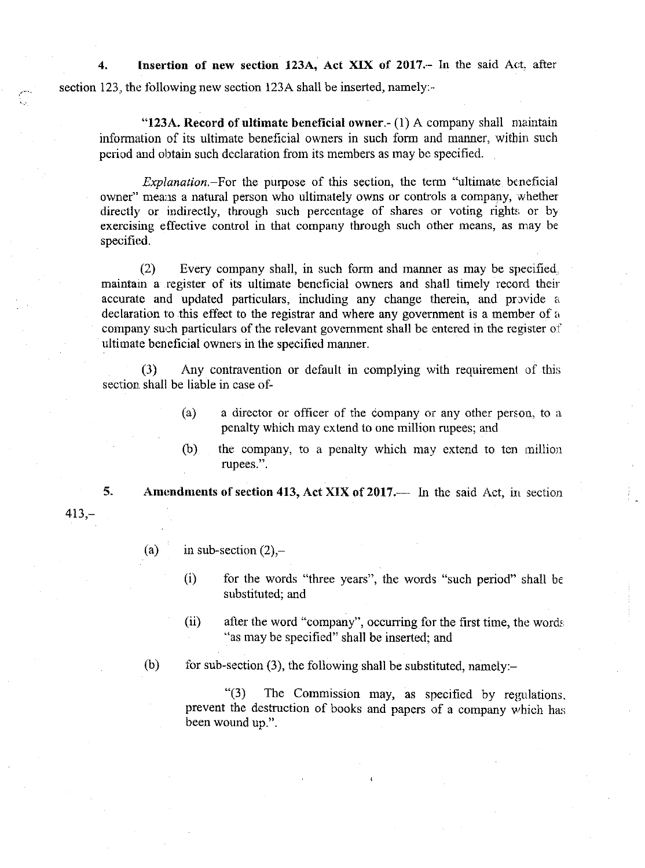4. Insertion of new section 123A, Act XIX of 2017.- In the said Act, after section 123, the following new section 123A shall be inserted, namely:-

"123A. Record of ultimate beneficial owner. $-(1)$  A company shall maintain information of its ultimate beneficial owners in such form and manner, within such period and obtain such declaration from its members as may be specified.

 $Explanation$ –For the purpose of this section, the term "ultimate beneficial owner" means a natural person who ultimately owns or controls a company, whether directly or indirectly, through such percentage of shares or voting rights or by exercising effective control in that company through such other means, as may be specified.

(2) Every company shall, in such form and manner as may be specified maintain a register of its ultimate beneficial owners and shall timely record theiraccurate and updated particulars, including any change therein, and provide a declaration to this effect to the registrar and where any government is a member of a company such particulars of the relevant government shall be entered in the register of ultimate beneficial owners in the specified marmer.

(3) Any contravention or default in complying with requirement of this section shall be liable in case of-

- (a) a director or officer of the company or any other person, to a penalty which may extend to one million rupees; and
- $(b)$  the company, to a penalty which may extend to ten million rupees.".

5. Amendments of section 413, Act XIX of 2017.— In the said Act, in section

413,-

(a) in sub-section  $(2)$ ,-

- (i) for the words "three years", the words "such period" shall be substituted; and
- $(ii)$  after the word "company", occurring for the first time, the words "as may be specified" shall be inserted; and

(b) for sub-section (3), the following shall be substituted, namely:-

" $(3)$  The Commission may, as specified by regulations, prevent the destruction of books and papers of a company which has been wound up.".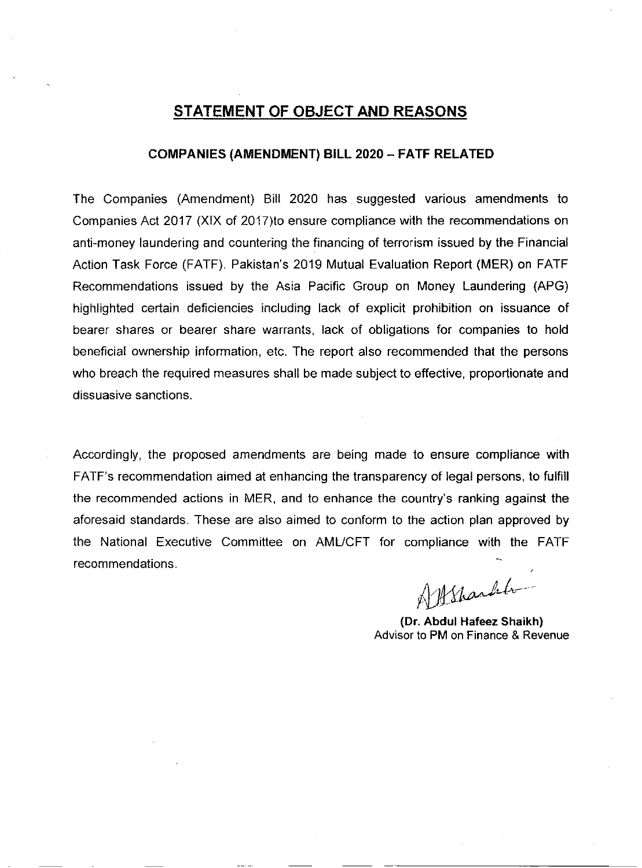# STATEMENT OF OBJECT AND REASONS

## COMPANIES (AMENDMENT) BILL 2020 - FATF RELATED

The Companies (Amendment) Bill 2020 has suggested various amendments to Companies Acl 2O17 (XIX of 2017)to ensure compliance with the recommendations on anti-money laundering and countering the financing of terrorism issued by the Financial Action Task Force (FATF). Pakistan's 2019 Mutual Evaluation Report (MER) on FATF Recommendations issued by the Asia Pacific Group on Money Laundering (APG) highlighted certain deficiencies including lack of explicit prohibition on issuance of bearer shares or bearer share warrants, lack of obligations for companies to hold beneficial ownership information, etc. The report also recommended that the persons who breach the required measures shall be made subject to effective, proportionate and dissuasive sanctions.

Accordingly, the proposed amendments are being made to ensure compliance with FATF's recommendation aimed at enhancing the transparency of legal persons, to fulfill the recommended actions in MER, and to enhance the country's ranking against the aforesaid standards. These are also aimed to conform to the action plan approved by the National Executive Committee on AMUCFT for compliance with the FATF recommendations.

Allsharht -

(Dr. Abdul Hafeez Shaikh) Advisor to PM on Finance & Revenue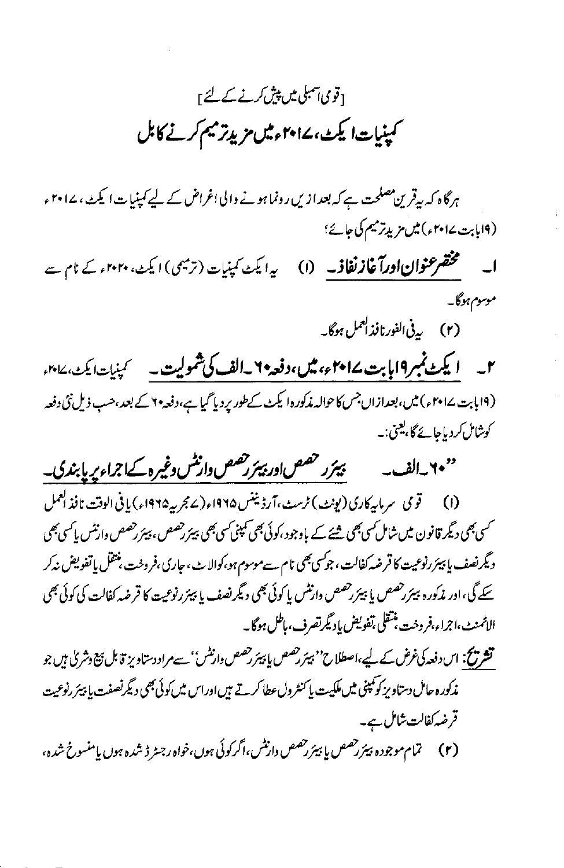# [قومی آسمبلی میں پیش کرنے کے لئے <sub>]</sub> کمپنیات ایکٹ، ۲۰۱۷ءمیں مزیدتر میم کرنے کابل

ہرگاہ کہ پیقرین مصلحت ہے کہ بعدازیں رونما ہونے والی اغراض کے لیے کمپنیات ایکٹ، ۱۷۰۲ء (۱۹ بابت ۱۰۲۷ء) میں مزید ترمیم کی جائے؛

مخضر عنوان اورآغاز نفاذ به (۱) یہ ایکٹ کمپنیات (ترمیمی) ایکٹ، ۲۰۲۰ء کے نام سے  $\Box$ موسوم ہوگا۔

(۲) بی<sup>فی الفورنافذ العمل ہوگا۔</sup>

۲۔ ایکٹ نمبر ۱۹بابت ۱۰۲۵ء، میں،دفعہ ۲۔الف کی شمولیت۔ کہنیات ایکٹ، ۱۰۱۷ء (۱۹ پابت ۱۵۰۷ء) میں، بعدازاں جس کاحوالہ مذکورہ ایکٹ کےطور پر دیا گیا ہے،دفعہ ۲ کے بعد،حب ذیل نئی دفعہ کوشامل کردیاجائے گا، یعنی:۔

بيئرر حصص ادر بيئر رحصص وازنش وغيره كےاجراء پر پابندى۔ ''۲۰ راف<sub>س</sub>ه

(۱) \_\_\_ قومي \_سر مار كاري (يونث) ٹرسٹ ،آرڈیننس ۱۹۶۵ء (2 مجربہ ۱۹۶۵ء) یا فی الوقت نافذ العمل <sup>سمس</sup>ی بھی دیگر قانون میں شامل <sub>کس</sub>ی بھی <u>ش</u>یئے کے باوجود ،کوئی بھی کمپنی *کسی بھی بیٹر رحصوں ،پیئر رحصص* وارنٹس پاکسی بھی دیگر نصف یا پیئر رنوعیت کا قرضه کفالت، جوکسی بھی نام سے موسوم ہو،کوالا ٹ، جاری،فروخت، منتقل یا تفویض نہ کر سکے گی، اور مذکورہ بیٹررحصص یا بیٹررحصص دارنٹس یا کوئی بھی دیگر نصف یا بیٹررنوعیت کا قرضہ کفالت کی کوئی بھی الاثمنث،اجراء،فروخت منتقلي ،تفويض ياد يگرتصرف،باطل ہوگا۔

**تشریح: ا**س دفعہ کی *غرض کے* لیے،اصطلاح'' بیئر ر*قصص یا پیئر رقصص* دارنٹس'' سے مراد دستاویز قابل بیج وشریٰ ہیں جو مذکور ہ حامل دستاویز کو کمپنی میں ملکیت یا کنٹرول عطا کرتے ہیں اوراس میں کوئی بھی دیگر نصفت یا بیئر رنوعیت قرضہ کفالت شامل ہے۔

(٢) تمام موجوده بيئررحصص يا بيئررحصص وارتثس،اگر كوئي ہوں،خواه رجسٹر ڈشده ہوں يامنسوخ شده،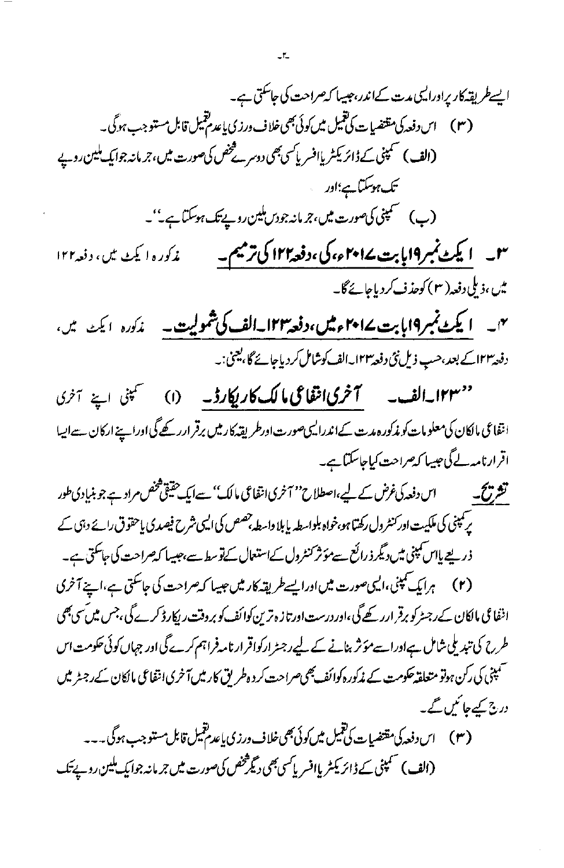ایسے طریقہ کار یراورالیں مدت کےاندر، جیسا کہ صراحت کی جاسکتی ہے۔ ( ۳ ) اس دفعہ کی مقتضیات کی قبیل میں کوئی بھی خلاف ورزی پاعد مقبیل قابل مستوجب ہوگی ۔ (الف) سمینی کے ڈائریکٹر یاافسر پاکسی بھی دوسرے پیٹھی کی صورت میں، جر مانہ جوایک ملین روپے تک ہوسکتا ہے؛اور ۳۔ ایکٹ نمبر۱۹ بابت ۱۴۰ے، کی،دفعہ۱۲ا کی ترمیم۔ مذكوره اليكث يين وفعه ۱۲۲ میں ،ذیلی دفعہ( ۳ ) کوحذف کردیاجائے گا۔ <sup>یں</sup>۔ ایکٹینمبر9ابابت ۱**۴۲ءمیں،دفعہ۱۲۳۔الف کی شمولیت۔** م*ذک*ورہ ایک میں، دفعہ ۱۲۳ کے بعد،حسب ذیل نئی دفعہ ۱۲۳۔الف کوشامل کر دیا جائے گا، یعنی:۔ ''۱۲۳۔الف۔ آخریانقاعی،الک کاریکارڈ۔ (۱) سمپنی اپنے آئری انتفاعی مالکان کی معلومات کو مذکورہ مدت کےاندرالیںصورت اورطر یقہ کار میں برقر ارر کھے گی اوراپنے ارکان سےالیہا اقرارنامہ لے گی جیسا کہ صراحت کیاجاسکتا ہے۔ تشریح کے ساس دفعہ کی غرض کے لیے،اصطلاح'' آخری انتفاعی مالک'' سےایک حقیقی شخص مراد ہے جو بنیادی طور یر کمپنی کی ملکیت اور کنٹرول رکھتا ہو،خواہ بلواسطہ پابلا داسطہ جصص کی ایسی شرح فیصدی پاحقوق رائے دہی کے

ذریعے پااس مینی میں دیگر ذرائع سےمؤثر کنٹرول کےاستعال کےنوسط سے،حبیبا کەصراحت کی جاسکتی ہے۔ اننفا می مالکان کےرجسٹرکو برقر ارر کھےگی،اور درست اورتاز ہ ترین کوائف کو بروقت ریکار ڈ کرے گی،جس میں سی بھی طررح کی تبدیلی شامل ہےاوراسےمؤثر بنانے کے لیےرجٹرارکواقرار نامہ فراہم کرے گی اور جہاں کوئی حکومت اس سمپنی کی رکن ہوتو متعلقہ حکومت کے مذکورہ کوائف بھی صراحت کر دہ طریق کارمیں آخری انقاعی مالکان کے رجسٹر میں درج کیے جا ٹمیں گے۔

(الف) سمینی کے ڈائریکٹر پاافسر پاکسی بھی دیگر شخص کی صورت میں جر مانہ جوایک ملین روپے تک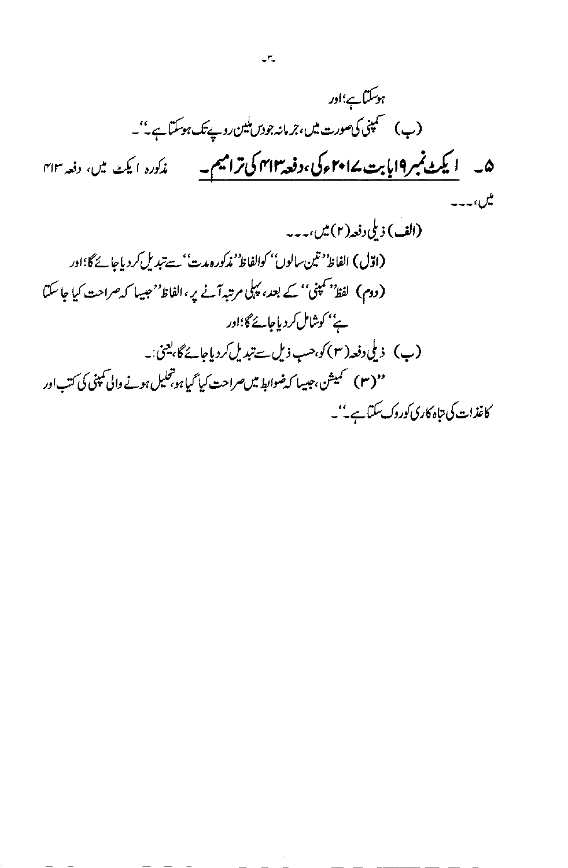$$
R_{i} = \frac{1}{2} \sum_{i=1}^{n} \sum_{j=1}^{n} \sum_{j=1}^{n} \sum_{j=1}^{n} \sum_{j=1}^{n} \sum_{j=1}^{n} \sum_{j=1}^{n} \sum_{j=1}^{n} \sum_{j=1}^{n} \sum_{j=1}^{n} \sum_{j=1}^{n} \sum_{j=1}^{n} \sum_{j=1}^{n} \sum_{j=1}^{n} \sum_{j=1}^{n} \sum_{j=1}^{n} \sum_{j=1}^{n} \sum_{j=1}^{n} \sum_{j=1}^{n} \sum_{j=1}^{n} \sum_{j=1}^{n} \sum_{j=1}^{n} \sum_{j=1}^{n} \sum_{j=1}^{n} \sum_{j=1}^{n} \sum_{j=1}^{n} \sum_{j=1}^{n} \sum_{j=1}^{n} \sum_{j=1}^{n} \sum_{j=1}^{n} \sum_{j=1}^{n} \sum_{j=1}^{n} \sum_{j=1}^{n} \sum_{j=1}^{n} \sum_{j=1}^{n} \sum_{j=1}^{n} \sum_{j=1}^{n} \sum_{j=1}^{n} \sum_{j=1}^{n} \sum_{j=1}^{n} \sum_{j=1}^{n} \sum_{j=1}^{n} \sum_{j=1}^{n} \sum_{j=1}^{n} \sum_{j=1}^{n} \sum_{j=1}^{n} \sum_{j=1}^{n} \sum_{j=1}^{n} \sum_{j=1}^{n} \sum_{j=1}^{n} \sum_{j=1}^{n} \sum_{j=1}^{n} \sum_{j=1}^{n} \sum_{j=1}^{n} \sum_{j=1}^{n} \sum_{j=1}^{n} \sum_{j=1}^{n} \sum_{j=1}^{n} \sum_{j=1}^{n} \sum_{j=1}^{n} \sum_{j=1}^{n} \sum_{j=1}^{n} \sum_{j=1}^{n} \sum_{j=1}^{n} \sum_{j=1}^{n} \sum_{j=1}^{n} \sum_{j=1}^{n} \sum_{j=1}^{n} \sum_{j=1}^{n} \sum_{j=1}^{n} \sum_{j=1}^{n} \sum_{j=1}^{n} \sum_{j=1}^{n} \sum_{j=1}^{n} \sum_{j=1
$$